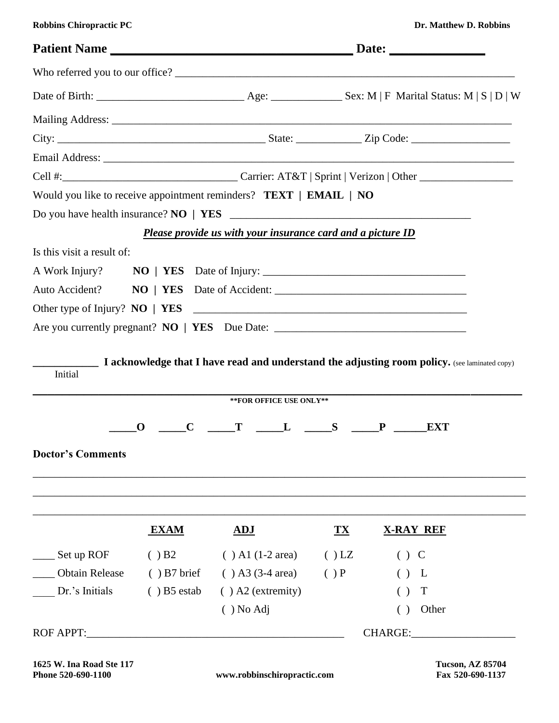| <b>Robbins Chiropractic PC</b> |  |  |
|--------------------------------|--|--|
|--------------------------------|--|--|

| Would you like to receive appointment reminders? TEXT   EMAIL   NO                |                           |                                                             |            |                  |  |
|-----------------------------------------------------------------------------------|---------------------------|-------------------------------------------------------------|------------|------------------|--|
|                                                                                   |                           |                                                             |            |                  |  |
|                                                                                   |                           | Please provide us with your insurance card and a picture ID |            |                  |  |
| Is this visit a result of:                                                        |                           |                                                             |            |                  |  |
|                                                                                   |                           |                                                             |            |                  |  |
|                                                                                   |                           |                                                             |            |                  |  |
|                                                                                   |                           |                                                             |            |                  |  |
| Are you currently pregnant? NO   YES Due Date: __________________________________ |                           |                                                             |            |                  |  |
| Initial                                                                           |                           | ** FOR OFFICE USE ONLY**                                    |            |                  |  |
|                                                                                   |                           |                                                             |            |                  |  |
|                                                                                   | $\mathbf{0}$ $\mathbf{C}$ | $T \quad L \quad S \quad P \quad$                           |            | <b>EXT</b>       |  |
| <b>Doctor's Comments</b>                                                          |                           |                                                             |            |                  |  |
|                                                                                   | <b>EXAM</b>               | ADJ                                                         | ${\bf TX}$ | <b>X-RAY REF</b> |  |
|                                                                                   |                           |                                                             |            |                  |  |
| Set up ROF                                                                        | ( ) B2                    | $( )$ A1 (1-2 area)                                         | $()$ LZ    | $()$ C           |  |
| <b>Obtain Release</b>                                                             | $( )$ B7 brief            | $( )$ A3 (3-4 area)                                         | ()P        | () L             |  |
| Dr.'s Initials                                                                    | $( )$ B5 estab            | $( )$ A2 (extremity)                                        |            | T<br>( )         |  |
|                                                                                   |                           | $( )$ No Adj                                                |            | Other<br>( )     |  |
| <b>ROF APPT:</b>                                                                  |                           |                                                             |            | CHARGE:          |  |

**1625 W. Ina Road Ste 117 Tucson, AZ 85704**

 $\textbf{www.} \textbf{robbinschiropractic.com}$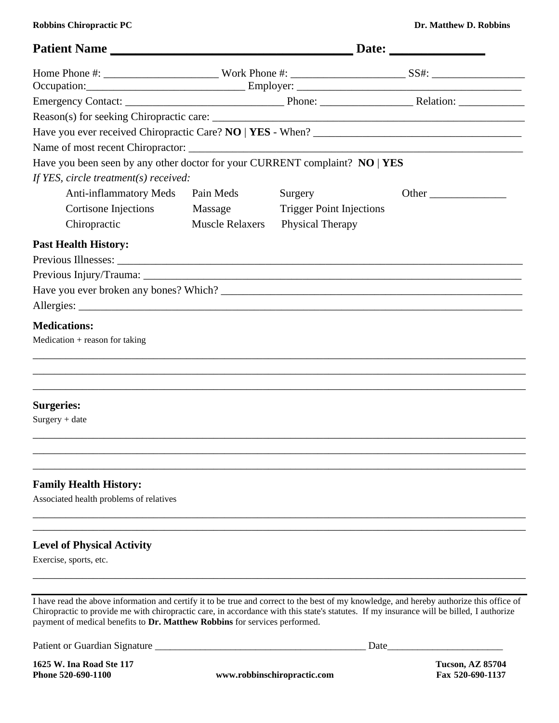**Robbins Chiropractic PC** Dr. Matthew D. Robbins

| Patient Name                                                                                                                                                                                                           |                        |                                 |       |  |
|------------------------------------------------------------------------------------------------------------------------------------------------------------------------------------------------------------------------|------------------------|---------------------------------|-------|--|
|                                                                                                                                                                                                                        |                        |                                 |       |  |
|                                                                                                                                                                                                                        |                        |                                 |       |  |
|                                                                                                                                                                                                                        |                        |                                 |       |  |
|                                                                                                                                                                                                                        |                        |                                 |       |  |
|                                                                                                                                                                                                                        |                        |                                 |       |  |
|                                                                                                                                                                                                                        |                        |                                 |       |  |
| Have you been seen by any other doctor for your CURRENT complaint? NO   YES                                                                                                                                            |                        |                                 |       |  |
| If YES, circle treatment(s) received:                                                                                                                                                                                  |                        |                                 |       |  |
| <b>Anti-inflammatory Meds</b>                                                                                                                                                                                          | Pain Meds              | Surgery                         | Other |  |
| Cortisone Injections                                                                                                                                                                                                   | Massage                | <b>Trigger Point Injections</b> |       |  |
| Chiropractic                                                                                                                                                                                                           | <b>Muscle Relaxers</b> | Physical Therapy                |       |  |
| <b>Past Health History:</b>                                                                                                                                                                                            |                        |                                 |       |  |
|                                                                                                                                                                                                                        |                        |                                 |       |  |
|                                                                                                                                                                                                                        |                        |                                 |       |  |
|                                                                                                                                                                                                                        |                        |                                 |       |  |
|                                                                                                                                                                                                                        |                        |                                 |       |  |
| <b>Medications:</b>                                                                                                                                                                                                    |                        |                                 |       |  |
| $Medication + reason for taking$                                                                                                                                                                                       |                        |                                 |       |  |
|                                                                                                                                                                                                                        |                        |                                 |       |  |
|                                                                                                                                                                                                                        |                        |                                 |       |  |
|                                                                                                                                                                                                                        |                        |                                 |       |  |
| <b>Surgeries:</b>                                                                                                                                                                                                      |                        |                                 |       |  |
| Surgery + date                                                                                                                                                                                                         |                        |                                 |       |  |
|                                                                                                                                                                                                                        |                        |                                 |       |  |
|                                                                                                                                                                                                                        |                        |                                 |       |  |
|                                                                                                                                                                                                                        |                        |                                 |       |  |
|                                                                                                                                                                                                                        |                        |                                 |       |  |
| <b>Family Health History:</b><br>Associated health problems of relatives                                                                                                                                               |                        |                                 |       |  |
|                                                                                                                                                                                                                        |                        |                                 |       |  |
|                                                                                                                                                                                                                        |                        |                                 |       |  |
| <b>Level of Physical Activity</b>                                                                                                                                                                                      |                        |                                 |       |  |
| Exercise, sports, etc.                                                                                                                                                                                                 |                        |                                 |       |  |
|                                                                                                                                                                                                                        |                        |                                 |       |  |
|                                                                                                                                                                                                                        |                        |                                 |       |  |
| I have read the above information and certify it to be true and correct to the best of my knowledge, and hereby authorize this office of                                                                               |                        |                                 |       |  |
| Chiropractic to provide me with chiropractic care, in accordance with this state's statutes. If my insurance will be billed, I authorize<br>payment of medical benefits to Dr. Matthew Robbins for services performed. |                        |                                 |       |  |

Patient or Guardian Signature \_\_\_\_\_\_\_\_\_\_\_\_\_\_\_\_\_\_\_\_\_\_\_\_\_\_\_\_\_\_\_\_\_\_\_\_\_\_\_\_\_\_ Date\_\_\_\_\_\_\_\_\_\_\_\_\_\_\_\_\_\_\_\_\_\_\_

**1625 W. Ina Road Ste 117 Tucson, AZ 85704**

**Phone 520-690-1100 www.robbinschiropractic.com Fax 520-690-1137**